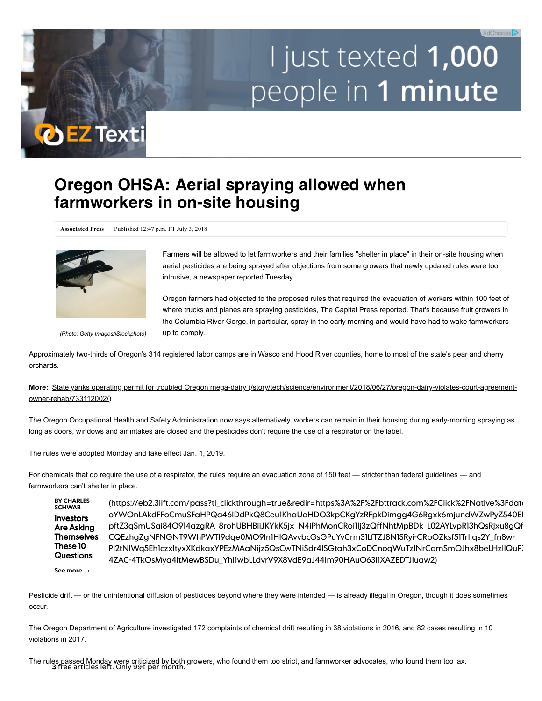## I just texted 1,000 people in 1 minute

## Oregon OHSA: Aerial spraying allowed when farmworkers in on-site housing

**Associated Press** Published 12:47 p.m. PT July 3, 2018



**O EZ Texti** 

Farmers will be allowed to let farmworkers and their families "shelter in place" in their on-site housing when aerial pesticides are being sprayed after objections from some growers that newly updated rules were too intrusive, a newspaper reported Tuesday.

Oregon farmers had objected to the proposed rules that required the evacuation of workers within 100 feet of where trucks and planes are spraying pesticides, The Capital Press reported. That's because fruit growers in the Columbia River Gorge, in particular, spray in the early morning and would have had to wake farmworkers up to comply.

*(Photo: Getty Images/iStockphoto)*

Approximately two-thirds of Oregon's 314 registered labor camps are in Wasco and Hood River counties, home to most of the state's pear and cherry orchards.

**More:** [State yanks operating permit for troubled Oregon mega-dairy \(/story/tech/science/environment/2018/06/27/oregon-dairy-violates-court-agreement](https://www.statesmanjournal.com/story/tech/science/environment/2018/06/27/oregon-dairy-violates-court-agreement-owner-rehab/733112002/)owner-rehab/733112002/)

The Oregon Occupational Health and Safety Administration now says alternatively, workers can remain in their housing during early-morning spraying as long as doors, windows and air intakes are closed and the pesticides don't require the use of a respirator on the label.

The rules were adopted Monday and take effect Jan. 1, 2019.

For chemicals that do require the use of a respirator, the rules require an evacuation zone of 150 feet — stricter than federal guidelines — and farmworkers can't shelter in place.

**BY CHARLES SCHWAB** Investors Are Asking **Themselves** These 10 **Questions See more** → [\(https://eb2.3lift.com/pass?tl\\_clickthrough=true&redir=https%3A%2F%2Fbttrack.com%2FClick%2FNative%3Fdata](https://eb2.3lift.com/pass?tl_clickthrough=true&redir=https%3A%2F%2Fbttrack.com%2FClick%2FNative%3Fdata%3DOuJifVtEKZqw3ATna_7yW6_q-oYWOnLAkdFFoCmuSFaHPQa46IDdPkQ8Ceu1KhaUaHDO3kpCKgYzRFpkDimgg4G6Rgxk6mjundWZwPyZ540EHRIR2_P-aTxA6nspOaC-pftZ3qSmUSai84O914azgRA_8rohUBHBiiJKYkK5jx_N4iPhMonCRoi1Ij3zQffNhtMpBDk_L02AYLvpR13hQsRjxu8gQfe2o1u_WHqKTWgpobl1pBQpQ-CQEzhgZgNFNGNT9WhPWTI9dqe0MO9In1HlQAvvbcGsGPuYvCrm31LfTZJ8N1SRyi-CRbOZksf51TrlIqs2Y_fn8w-PI2tNlWq5Eh1czxItyxXKdkaxYPEzMAaNijz5QsCwTNiSdr4ISGtah3xCoDCnoqWuTzINrCamSmOJhx8beLHzllQuPZlD2EJ0O8ksyOWgtmj9laNntqedrR6cuYWdjbK-4ZAC-4TkOsMya4ItMewBSDu_Yhl1wbLLdvrV9X8VdE9aJ44Im90HAuO63I1XAZEDTJIuaw2) oYWOnLAkdFFoCmuSFaHPQa46IDdPkQ8Ceu1KhaUaHDO3kpCKgYzRFpkDimgg4G6Rgxk6mjundWZwPyZ540EH pftZ3qSmUSai84O914azgRA\_8rohUBHBiiJKYkK5jx\_N4iPhMonCRoi1Ij3zQffNhtMpBDk\_L02AYLvpR13hQsRjxu8gQf CQEzhgZgNFNGNT9WhPWTI9dqe0MO9In1HlQAvvbcGsGPuYvCrm31LfTZJ8N1SRyi-CRbOZksf51TrlIqs2Y\_fn8w-PI2tNIWq5Eh1czxItyxXKdkaxYPEzMAaNijz5QsCwTNiSdr4ISGtah3xCoDCnoqWuTzINrCamSmOJhx8beLHzIIQuP. 4ZAC-4TkOsMya4ItMewBSDu\_Yhl1wbLLdvrV9X8VdE9aJ44Im90HAuO63I1XAZEDTJIuaw2)

Pesticide drift — or the unintentional diffusion of pesticides beyond where they were intended — is already illegal in Oregon, though it does sometimes occur.

The Oregon Department of Agriculture investigated 172 complaints of chemical drift resulting in 38 violations in 2016, and 82 cases resulting in 10 violations in 2017.

The rules passed Monday were criticized by both growers, who found them too strict, and farmworker advocates, who found them too lax. 3 free articles left. Only 99¢ per month.